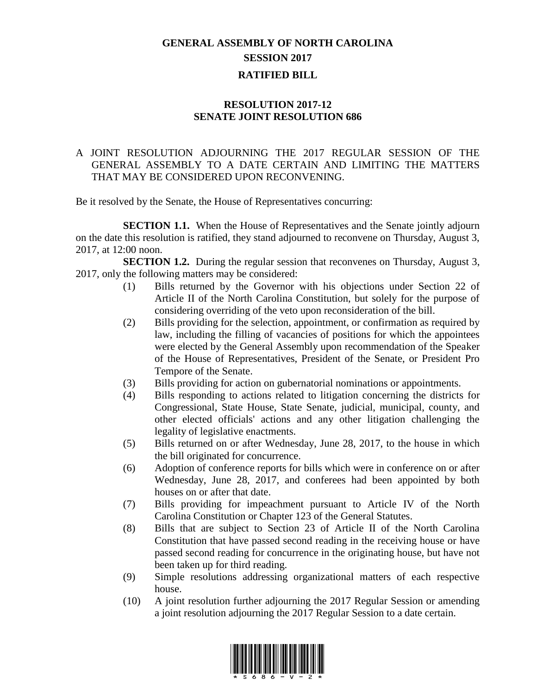## **GENERAL ASSEMBLY OF NORTH CAROLINA SESSION 2017 RATIFIED BILL**

## **RESOLUTION 2017-12 SENATE JOINT RESOLUTION 686**

## A JOINT RESOLUTION ADJOURNING THE 2017 REGULAR SESSION OF THE GENERAL ASSEMBLY TO A DATE CERTAIN AND LIMITING THE MATTERS THAT MAY BE CONSIDERED UPON RECONVENING.

Be it resolved by the Senate, the House of Representatives concurring:

**SECTION 1.1.** When the House of Representatives and the Senate jointly adjourn on the date this resolution is ratified, they stand adjourned to reconvene on Thursday, August 3, 2017, at 12:00 noon.

**SECTION 1.2.** During the regular session that reconvenes on Thursday, August 3, 2017, only the following matters may be considered:

- (1) Bills returned by the Governor with his objections under Section 22 of Article II of the North Carolina Constitution, but solely for the purpose of considering overriding of the veto upon reconsideration of the bill.
- (2) Bills providing for the selection, appointment, or confirmation as required by law, including the filling of vacancies of positions for which the appointees were elected by the General Assembly upon recommendation of the Speaker of the House of Representatives, President of the Senate, or President Pro Tempore of the Senate.
- (3) Bills providing for action on gubernatorial nominations or appointments.
- (4) Bills responding to actions related to litigation concerning the districts for Congressional, State House, State Senate, judicial, municipal, county, and other elected officials' actions and any other litigation challenging the legality of legislative enactments.
- (5) Bills returned on or after Wednesday, June 28, 2017, to the house in which the bill originated for concurrence.
- (6) Adoption of conference reports for bills which were in conference on or after Wednesday, June 28, 2017, and conferees had been appointed by both houses on or after that date.
- (7) Bills providing for impeachment pursuant to Article IV of the North Carolina Constitution or Chapter 123 of the General Statutes.
- (8) Bills that are subject to Section 23 of Article II of the North Carolina Constitution that have passed second reading in the receiving house or have passed second reading for concurrence in the originating house, but have not been taken up for third reading.
- (9) Simple resolutions addressing organizational matters of each respective house.
- (10) A joint resolution further adjourning the 2017 Regular Session or amending a joint resolution adjourning the 2017 Regular Session to a date certain.

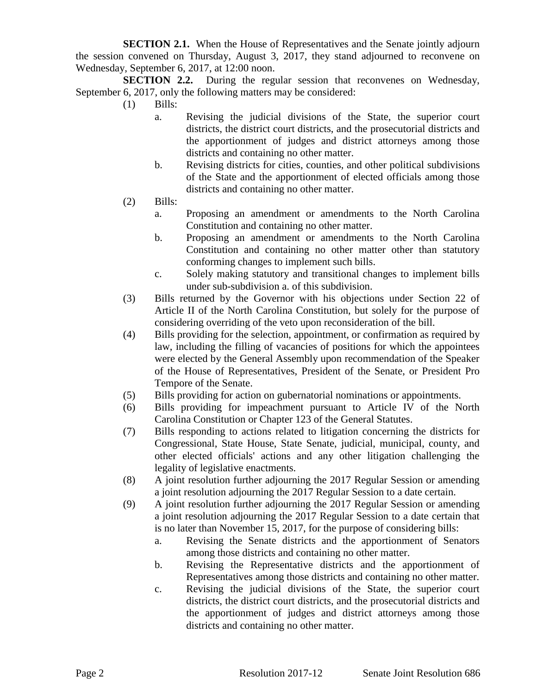**SECTION 2.1.** When the House of Representatives and the Senate jointly adjourn the session convened on Thursday, August 3, 2017, they stand adjourned to reconvene on Wednesday, September 6, 2017, at 12:00 noon.

**SECTION 2.2.** During the regular session that reconvenes on Wednesday, September 6, 2017, only the following matters may be considered:

- $(1)$  Bills:
	- a. Revising the judicial divisions of the State, the superior court districts, the district court districts, and the prosecutorial districts and the apportionment of judges and district attorneys among those districts and containing no other matter.
	- b. Revising districts for cities, counties, and other political subdivisions of the State and the apportionment of elected officials among those districts and containing no other matter.
- (2) Bills:
	- a. Proposing an amendment or amendments to the North Carolina Constitution and containing no other matter.
	- b. Proposing an amendment or amendments to the North Carolina Constitution and containing no other matter other than statutory conforming changes to implement such bills.
	- c. Solely making statutory and transitional changes to implement bills under sub-subdivision a. of this subdivision.
- (3) Bills returned by the Governor with his objections under Section 22 of Article II of the North Carolina Constitution, but solely for the purpose of considering overriding of the veto upon reconsideration of the bill.
- (4) Bills providing for the selection, appointment, or confirmation as required by law, including the filling of vacancies of positions for which the appointees were elected by the General Assembly upon recommendation of the Speaker of the House of Representatives, President of the Senate, or President Pro Tempore of the Senate.
- (5) Bills providing for action on gubernatorial nominations or appointments.
- (6) Bills providing for impeachment pursuant to Article IV of the North Carolina Constitution or Chapter 123 of the General Statutes.
- (7) Bills responding to actions related to litigation concerning the districts for Congressional, State House, State Senate, judicial, municipal, county, and other elected officials' actions and any other litigation challenging the legality of legislative enactments.
- (8) A joint resolution further adjourning the 2017 Regular Session or amending a joint resolution adjourning the 2017 Regular Session to a date certain.
- (9) A joint resolution further adjourning the 2017 Regular Session or amending a joint resolution adjourning the 2017 Regular Session to a date certain that is no later than November 15, 2017, for the purpose of considering bills:
	- a. Revising the Senate districts and the apportionment of Senators among those districts and containing no other matter.
	- b. Revising the Representative districts and the apportionment of Representatives among those districts and containing no other matter.
	- c. Revising the judicial divisions of the State, the superior court districts, the district court districts, and the prosecutorial districts and the apportionment of judges and district attorneys among those districts and containing no other matter.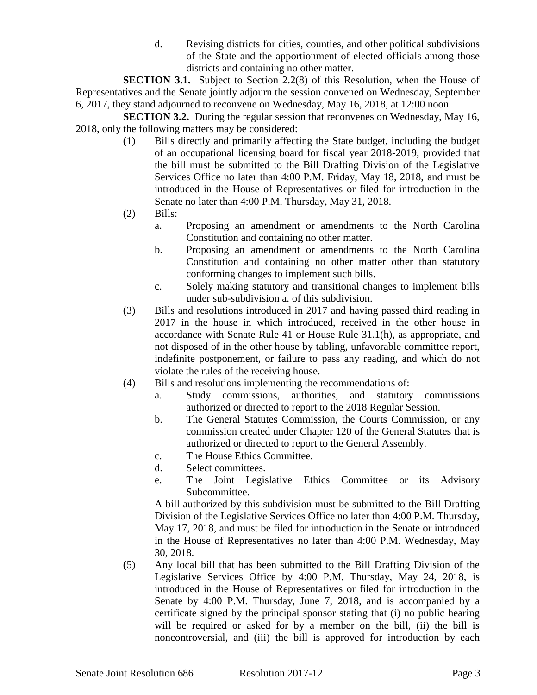d. Revising districts for cities, counties, and other political subdivisions of the State and the apportionment of elected officials among those districts and containing no other matter.

**SECTION 3.1.** Subject to Section 2.2(8) of this Resolution, when the House of Representatives and the Senate jointly adjourn the session convened on Wednesday, September 6, 2017, they stand adjourned to reconvene on Wednesday, May 16, 2018, at 12:00 noon.

**SECTION 3.2.** During the regular session that reconvenes on Wednesday, May 16, 2018, only the following matters may be considered:

- (1) Bills directly and primarily affecting the State budget, including the budget of an occupational licensing board for fiscal year 2018-2019, provided that the bill must be submitted to the Bill Drafting Division of the Legislative Services Office no later than 4:00 P.M. Friday, May 18, 2018, and must be introduced in the House of Representatives or filed for introduction in the Senate no later than 4:00 P.M. Thursday, May 31, 2018.
- (2) Bills:
	- a. Proposing an amendment or amendments to the North Carolina Constitution and containing no other matter.
	- b. Proposing an amendment or amendments to the North Carolina Constitution and containing no other matter other than statutory conforming changes to implement such bills.
	- c. Solely making statutory and transitional changes to implement bills under sub-subdivision a. of this subdivision.
- (3) Bills and resolutions introduced in 2017 and having passed third reading in 2017 in the house in which introduced, received in the other house in accordance with Senate Rule 41 or House Rule 31.1(h), as appropriate, and not disposed of in the other house by tabling, unfavorable committee report, indefinite postponement, or failure to pass any reading, and which do not violate the rules of the receiving house.
- (4) Bills and resolutions implementing the recommendations of:
	- a. Study commissions, authorities, and statutory commissions authorized or directed to report to the 2018 Regular Session.
	- b. The General Statutes Commission, the Courts Commission, or any commission created under Chapter 120 of the General Statutes that is authorized or directed to report to the General Assembly.
	- c. The House Ethics Committee.
	- d. Select committees.
	- e. The Joint Legislative Ethics Committee or its Advisory Subcommittee.

A bill authorized by this subdivision must be submitted to the Bill Drafting Division of the Legislative Services Office no later than 4:00 P.M. Thursday, May 17, 2018, and must be filed for introduction in the Senate or introduced in the House of Representatives no later than 4:00 P.M. Wednesday, May 30, 2018.

(5) Any local bill that has been submitted to the Bill Drafting Division of the Legislative Services Office by 4:00 P.M. Thursday, May 24, 2018, is introduced in the House of Representatives or filed for introduction in the Senate by 4:00 P.M. Thursday, June 7, 2018, and is accompanied by a certificate signed by the principal sponsor stating that (i) no public hearing will be required or asked for by a member on the bill, (ii) the bill is noncontroversial, and (iii) the bill is approved for introduction by each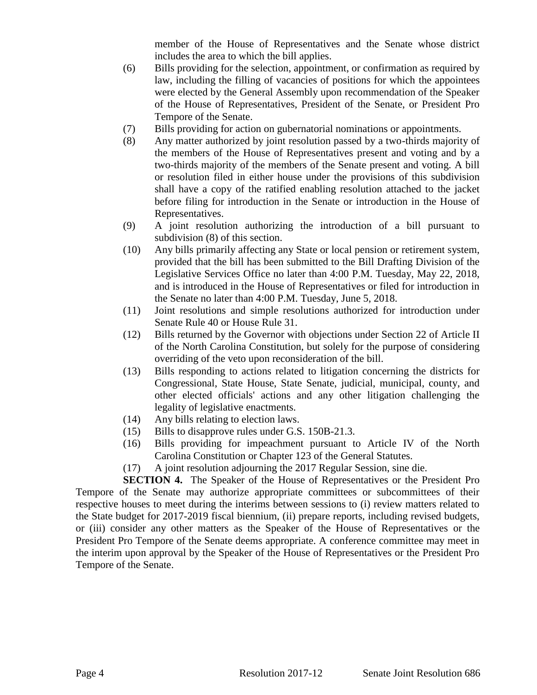member of the House of Representatives and the Senate whose district includes the area to which the bill applies.

- (6) Bills providing for the selection, appointment, or confirmation as required by law, including the filling of vacancies of positions for which the appointees were elected by the General Assembly upon recommendation of the Speaker of the House of Representatives, President of the Senate, or President Pro Tempore of the Senate.
- (7) Bills providing for action on gubernatorial nominations or appointments.
- (8) Any matter authorized by joint resolution passed by a two-thirds majority of the members of the House of Representatives present and voting and by a two-thirds majority of the members of the Senate present and voting. A bill or resolution filed in either house under the provisions of this subdivision shall have a copy of the ratified enabling resolution attached to the jacket before filing for introduction in the Senate or introduction in the House of Representatives.
- (9) A joint resolution authorizing the introduction of a bill pursuant to subdivision (8) of this section.
- (10) Any bills primarily affecting any State or local pension or retirement system, provided that the bill has been submitted to the Bill Drafting Division of the Legislative Services Office no later than 4:00 P.M. Tuesday, May 22, 2018, and is introduced in the House of Representatives or filed for introduction in the Senate no later than 4:00 P.M. Tuesday, June 5, 2018.
- (11) Joint resolutions and simple resolutions authorized for introduction under Senate Rule 40 or House Rule 31.
- (12) Bills returned by the Governor with objections under Section 22 of Article II of the North Carolina Constitution, but solely for the purpose of considering overriding of the veto upon reconsideration of the bill.
- (13) Bills responding to actions related to litigation concerning the districts for Congressional, State House, State Senate, judicial, municipal, county, and other elected officials' actions and any other litigation challenging the legality of legislative enactments.
- (14) Any bills relating to election laws.
- (15) Bills to disapprove rules under G.S. 150B-21.3.
- (16) Bills providing for impeachment pursuant to Article IV of the North Carolina Constitution or Chapter 123 of the General Statutes.
- (17) A joint resolution adjourning the 2017 Regular Session, sine die.

**SECTION 4.** The Speaker of the House of Representatives or the President Pro Tempore of the Senate may authorize appropriate committees or subcommittees of their respective houses to meet during the interims between sessions to (i) review matters related to the State budget for 2017-2019 fiscal biennium, (ii) prepare reports, including revised budgets, or (iii) consider any other matters as the Speaker of the House of Representatives or the President Pro Tempore of the Senate deems appropriate. A conference committee may meet in the interim upon approval by the Speaker of the House of Representatives or the President Pro Tempore of the Senate.